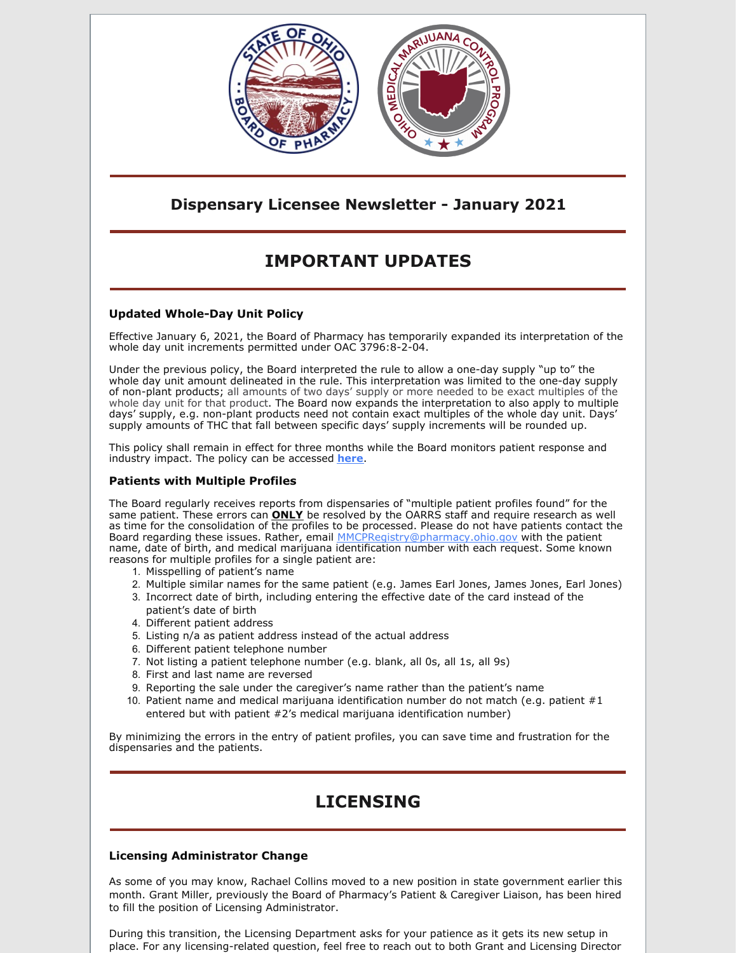

## **Dispensary Licensee Newsletter - January 2021**

# **IMPORTANT UPDATES**

### **Updated Whole-Day Unit Policy**

Effective January 6, 2021, the Board of Pharmacy has temporarily expanded its interpretation of the whole day unit increments permitted under OAC 3796:8-2-04.

Under the previous policy, the Board interpreted the rule to allow a one-day supply "up to" the whole day unit amount delineated in the rule. This interpretation was limited to the one-day supply of non-plant products; all amounts of two days' supply or more needed to be exact multiples of the whole day unit for that product. The Board now expands the interpretation to also apply to multiple days' supply, e.g. non-plant products need not contain exact multiples of the whole day unit. Days' supply amounts of THC that fall between specific days' supply increments will be rounded up.

This policy shall remain in effect for three months while the Board monitors patient response and industry impact. The policy can be accessed **[here](http://r20.rs6.net/tn.jsp?f=001LIT3DaVamFB2gHchBOA52ZvF4XkmaaNMY_bbLDfsQdnJnBTYyVDtRC3vnQ-nokmEhvXg7uzQKg6RIfyOfaGmmutPLHhbpTMW8M4TIrHV5pNUBpo-jKSyCI_c412TAn_ZSChdHKMoMGsCsrULxS6D1pdjfeR1kjqZZ1FZEcd9N4eZjS8XMU4-6WdpIxPAwgmMa6faz88zwHvMmqU5nc0BXEl50lZ_rq-eOPl_WQUM-R9gTV0jKYt3NT3eo1tCgEyXIwMvDg1Q7qoKC3QJkd3HAbKGB2tMohp7ktQWqTFbE64rH5u7ifkBgL7uV8qppjarPSdQs63kZEB5UPkqAgvRNLiysG1-btUhYHaxAc9J-uUs1T1bYH_tTQ==&c=VZrSKFk9PcivyQnyX03U_hD76jHJzszf7l6V3-YUsgY_vcyvh31UqA==&ch=jFpae5Ad1KkL8Ou2xLMIB1MHEJDoBILlEd14vbc119wZlNVg_Xs_Ug==)**.

### **Patients with Multiple Profiles**

The Board regularly receives reports from dispensaries of "multiple patient profiles found" for the same patient. These errors can **ONLY** be resolved by the OARRS staff and require research as well as time for the consolidation of the profiles to be processed. Please do not have patients contact the Board regarding these issues. Rather, email MMCPRegistry@pharmacy.ohio.gov with the patient name, date of birth, and medical marijuana identification number with each request. Some known reasons for multiple profiles for a single patient are:

- 1. Misspelling of patient's name
- 2. Multiple similar names for the same patient (e.g. James Earl Jones, James Jones, Earl Jones)
- 3. Incorrect date of birth, including entering the effective date of the card instead of the patient's date of birth
- 4. Different patient address
- 5. Listing n/a as patient address instead of the actual address
- 6. Different patient telephone number
- 7. Not listing a patient telephone number (e.g. blank, all 0s, all 1s, all 9s)
- 8. First and last name are reversed
- 9. Reporting the sale under the caregiver's name rather than the patient's name
- 10. Patient name and medical marijuana identification number do not match (e.g. patient  $#1$ entered but with patient #2's medical marijuana identification number)

By minimizing the errors in the entry of patient profiles, you can save time and frustration for the dispensaries and the patients.

# **LICENSING**

### **Licensing Administrator Change**

As some of you may know, Rachael Collins moved to a new position in state government earlier this month. Grant Miller, previously the Board of Pharmacy's Patient & Caregiver Liaison, has been hired to fill the position of Licensing Administrator.

During this transition, the Licensing Department asks for your patience as it gets its new setup in place. For any licensing-related question, feel free to reach out to both Grant and Licensing Director